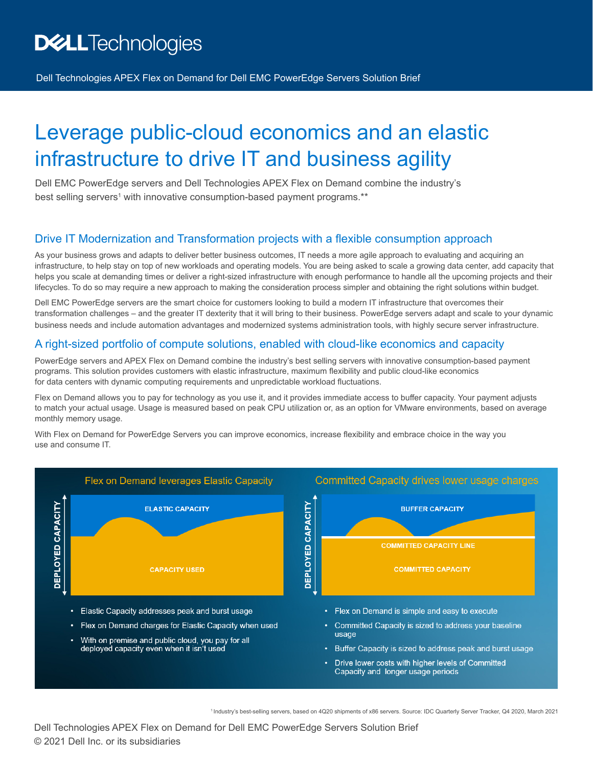# **DELL**Technologies

Dell Technologies APEX Flex on Demand for Dell EMC PowerEdge Servers Solution Brief

# Leverage public-cloud economics and an elastic infrastructure to drive IT and business agility

Dell EMC PowerEdge servers and Dell Technologies APEX Flex on Demand combine the industry's best selling servers<sup>1</sup> with innovative consumption-based payment programs.\*\*

#### Drive IT Modernization and Transformation projects with a flexible consumption approach

As your business grows and adapts to deliver better business outcomes, IT needs a more agile approach to evaluating and acquiring an infrastructure, to help stay on top of new workloads and operating models. You are being asked to scale a growing data center, add capacity that helps you scale at demanding times or deliver a right-sized infrastructure with enough performance to handle all the upcoming projects and their lifecycles. To do so may require a new approach to making the consideration process simpler and obtaining the right solutions within budget.

Dell EMC PowerEdge servers are the smart choice for customers looking to build a modern IT infrastructure that overcomes their transformation challenges – and the greater IT dexterity that it will bring to their business. PowerEdge servers adapt and scale to your dynamic business needs and include automation advantages and modernized systems administration tools, with highly secure server infrastructure.

#### A right-sized portfolio of compute solutions, enabled with cloud-like economics and capacity

PowerEdge servers and APEX Flex on Demand combine the industry's best selling servers with innovative consumption-based payment programs. This solution provides customers with elastic infrastructure, maximum flexibility and public cloud-like economics for data centers with dynamic computing requirements and unpredictable workload fluctuations.

Flex on Demand allows you to pay for technology as you use it, and it provides immediate access to buffer capacity. Your payment adjusts to match your actual usage. Usage is measured based on peak CPU utilization or, as an option for VMware environments, based on average monthly memory usage.

With Flex on Demand for PowerEdge Servers you can improve economics, increase flexibility and embrace choice in the way you use and consume IT.



Industry's best-selling servers, based on 4Q20 shipments of x86 servers. Source: IDC Quarterly Server Tracker, Q4 2020, March 2021 <sup>1</sup>

© 2021 Dell Inc. or its subsidiaries Dell Technologies APEX Flex on Demand for Dell EMC PowerEdge Servers Solution Brief